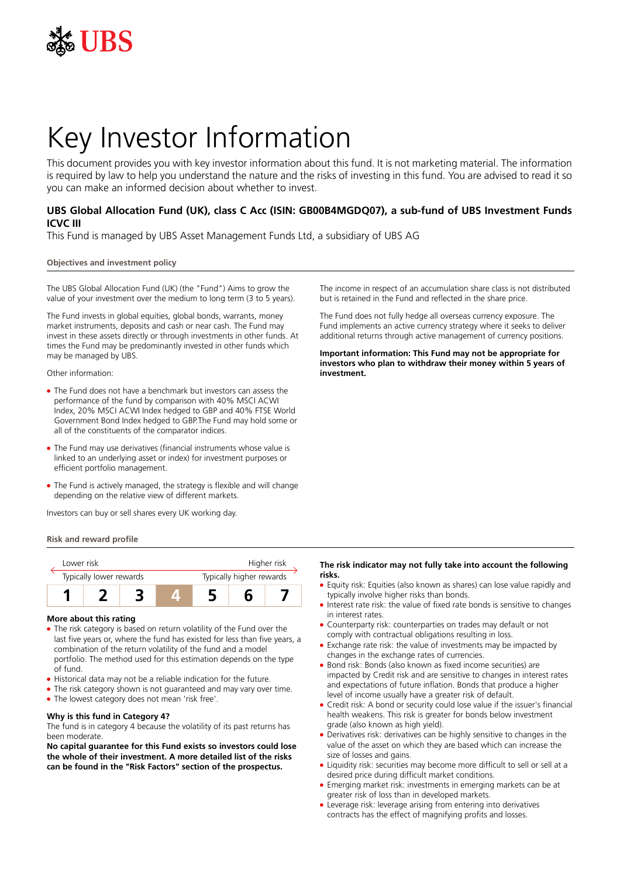

# Key Investor Information

This document provides you with key investor information about this fund. It is not marketing material. The information is required by law to help you understand the nature and the risks of investing in this fund. You are advised to read it so you can make an informed decision about whether to invest.

# **UBS Global Allocation Fund (UK), class C Acc (ISIN: GB00B4MGDQ07), a sub-fund of UBS Investment Funds ICVC III**

This Fund is managed by UBS Asset Management Funds Ltd, a subsidiary of UBS AG

## **Objectives and investment policy**

The UBS Global Allocation Fund (UK) (the "Fund") Aims to grow the value of your investment over the medium to long term (3 to 5 years).

The Fund invests in global equities, global bonds, warrants, money market instruments, deposits and cash or near cash. The Fund may invest in these assets directly or through investments in other funds. At times the Fund may be predominantly invested in other funds which may be managed by UBS.

Other information:

- The Fund does not have a benchmark but investors can assess the performance of the fund by comparison with 40% MSCI ACWI Index, 20% MSCI ACWI Index hedged to GBP and 40% FTSE World Government Bond Index hedged to GBP.The Fund may hold some or all of the constituents of the comparator indices.
- The Fund may use derivatives (financial instruments whose value is linked to an underlying asset or index) for investment purposes or efficient portfolio management.
- The Fund is actively managed, the strategy is flexible and will change depending on the relative view of different markets.

Investors can buy or sell shares every UK working day.

#### **Risk and reward profile**

|  | I ower risk             |  |  | Higher risk              |  |  |  |
|--|-------------------------|--|--|--------------------------|--|--|--|
|  | Typically lower rewards |  |  | Typically higher rewards |  |  |  |
|  |                         |  |  |                          |  |  |  |

#### **More about this rating**

- The risk category is based on return volatility of the Fund over the last five years or, where the fund has existed for less than five years, a combination of the return volatility of the fund and a model portfolio. The method used for this estimation depends on the type of fund.
- Historical data may not be a reliable indication for the future.
- The risk category shown is not guaranteed and may vary over time.
- The lowest category does not mean 'risk free'.

# **Why is this fund in Category 4?**

The fund is in category 4 because the volatility of its past returns has been moderate.

**No capital guarantee for this Fund exists so investors could lose the whole of their investment. A more detailed list of the risks can be found in the "Risk Factors" section of the prospectus.**

The income in respect of an accumulation share class is not distributed but is retained in the Fund and reflected in the share price.

The Fund does not fully hedge all overseas currency exposure. The Fund implements an active currency strategy where it seeks to deliver additional returns through active management of currency positions.

**Important information: This Fund may not be appropriate for investors who plan to withdraw their money within 5 years of investment.**

# **The risk indicator may not fully take into account the following risks.**

- Equity risk: Equities (also known as shares) can lose value rapidly and typically involve higher risks than bonds.
- Interest rate risk: the value of fixed rate bonds is sensitive to changes in interest rates.
- Counterparty risk: counterparties on trades may default or not comply with contractual obligations resulting in loss.
- Exchange rate risk: the value of investments may be impacted by changes in the exchange rates of currencies.
- Bond risk: Bonds (also known as fixed income securities) are impacted by Credit risk and are sensitive to changes in interest rates and expectations of future inflation. Bonds that produce a higher level of income usually have a greater risk of default.
- Credit risk: A bond or security could lose value if the issuer's financial health weakens. This risk is greater for bonds below investment grade (also known as high yield).
- Derivatives risk: derivatives can be highly sensitive to changes in the value of the asset on which they are based which can increase the size of losses and gains.
- Liquidity risk: securities may become more difficult to sell or sell at a desired price during difficult market conditions.
- 5 Emerging market risk: investments in emerging markets can be at greater risk of loss than in developed markets.
- Leverage risk: leverage arising from entering into derivatives contracts has the effect of magnifying profits and losses.